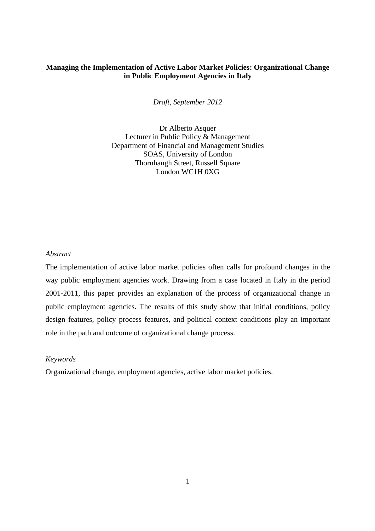## **Managing the Implementation of Active Labor Market Policies: Organizational Change in Public Employment Agencies in Italy**

*Draft, September 2012*

Dr Alberto Asquer Lecturer in Public Policy & Management Department of Financial and Management Studies SOAS, University of London Thornhaugh Street, Russell Square London WC1H 0XG

## *Abstract*

The implementation of active labor market policies often calls for profound changes in the way public employment agencies work. Drawing from a case located in Italy in the period 2001-2011, this paper provides an explanation of the process of organizational change in public employment agencies. The results of this study show that initial conditions, policy design features, policy process features, and political context conditions play an important role in the path and outcome of organizational change process.

#### *Keywords*

Organizational change, employment agencies, active labor market policies.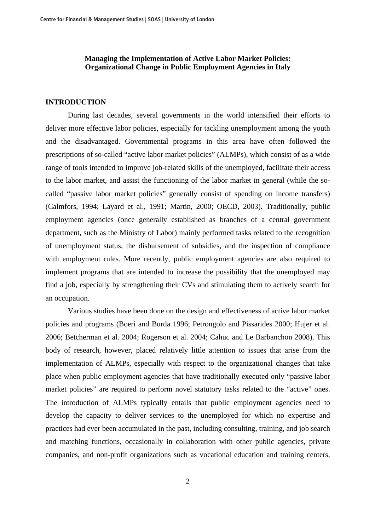## **Managing the Implementation of Active Labor Market Policies: Organizational Change in Public Employment Agencies in Italy**

## **INTRODUCTION**

 During last decades, several governments in the world intensified their efforts to deliver more effective labor policies, especially for tackling unemployment among the youth and the disadvantaged. Governmental programs in this area have often followed the prescriptions of so-called "active labor market policies" (ALMPs), which consist of as a wide range of tools intended to improve job-related skills of the unemployed, facilitate their access to the labor market, and assist the functioning of the labor market in general (while the socalled "passive labor market policies" generally consist of spending on income transfers) (Calmfors, 1994; Layard et al., 1991; Martin, 2000; OECD, 2003). Traditionally, public employment agencies (once generally established as branches of a central government department, such as the Ministry of Labor) mainly performed tasks related to the recognition of unemployment status, the disbursement of subsidies, and the inspection of compliance with employment rules. More recently, public employment agencies are also required to implement programs that are intended to increase the possibility that the unemployed may find a job, especially by strengthening their CVs and stimulating them to actively search for an occupation.

 Various studies have been done on the design and effectiveness of active labor market policies and programs (Boeri and Burda 1996; Petrongolo and Pissarides 2000; Hujer et al. 2006; Betcherman et al. 2004; Rogerson et al. 2004; Cahuc and Le Barbanchon 2008). This body of research, however, placed relatively little attention to issues that arise from the implementation of ALMPs, especially with respect to the organizational changes that take place when public employment agencies that have traditionally executed only "passive labor market policies" are required to perform novel statutory tasks related to the "active" ones. The introduction of ALMPs typically entails that public employment agencies need to develop the capacity to deliver services to the unemployed for which no expertise and practices had ever been accumulated in the past, including consulting, training, and job search and matching functions, occasionally in collaboration with other public agencies, private companies, and non-profit organizations such as vocational education and training centers,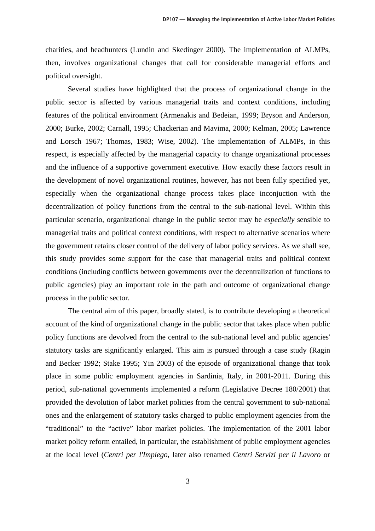charities, and headhunters (Lundin and Skedinger 2000). The implementation of ALMPs, then, involves organizational changes that call for considerable managerial efforts and political oversight.

 Several studies have highlighted that the process of organizational change in the public sector is affected by various managerial traits and context conditions, including features of the political environment (Armenakis and Bedeian, 1999; Bryson and Anderson, 2000; Burke, 2002; Carnall, 1995; Chackerian and Mavima, 2000; Kelman, 2005; Lawrence and Lorsch 1967; Thomas, 1983; Wise, 2002). The implementation of ALMPs, in this respect, is especially affected by the managerial capacity to change organizational processes and the influence of a supportive government executive. How exactly these factors result in the development of novel organizational routines, however, has not been fully specified yet, especially when the organizational change process takes place inconjuction with the decentralization of policy functions from the central to the sub-national level. Within this particular scenario, organizational change in the public sector may be *especially* sensible to managerial traits and political context conditions, with respect to alternative scenarios where the government retains closer control of the delivery of labor policy services. As we shall see, this study provides some support for the case that managerial traits and political context conditions (including conflicts between governments over the decentralization of functions to public agencies) play an important role in the path and outcome of organizational change process in the public sector.

 The central aim of this paper, broadly stated, is to contribute developing a theoretical account of the kind of organizational change in the public sector that takes place when public policy functions are devolved from the central to the sub-national level and public agencies' statutory tasks are significantly enlarged. This aim is pursued through a case study (Ragin and Becker 1992; Stake 1995; Yin 2003) of the episode of organizational change that took place in some public employment agencies in Sardinia, Italy, in 2001-2011. During this period, sub-national governments implemented a reform (Legislative Decree 180/2001) that provided the devolution of labor market policies from the central government to sub-national ones and the enlargement of statutory tasks charged to public employment agencies from the "traditional" to the "active" labor market policies. The implementation of the 2001 labor market policy reform entailed, in particular, the establishment of public employment agencies at the local level (*Centri per l'Impiego*, later also renamed *Centri Servizi per il Lavoro* or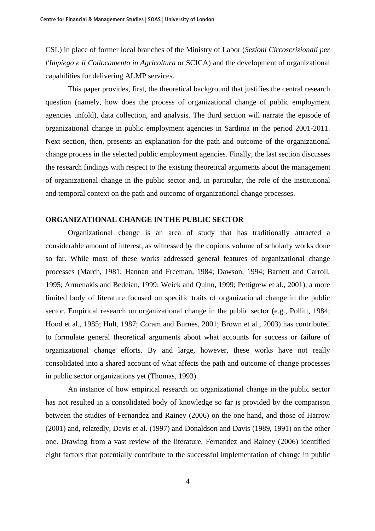CSL) in place of former local branches of the Ministry of Labor (*Sezioni Circoscrizionali per l'Impiego e il Collocamento in Agricoltura* or SCICA) and the development of organizational capabilities for delivering ALMP services.

 This paper provides, first, the theoretical background that justifies the central research question (namely, how does the process of organizational change of public employment agencies unfold), data collection, and analysis. The third section will narrate the episode of organizational change in public employment agencies in Sardinia in the period 2001-2011. Next section, then, presents an explanation for the path and outcome of the organizational change process in the selected public employment agencies. Finally, the last section discusses the research findings with respect to the existing theoretical arguments about the management of organizational change in the public sector and, in particular, the role of the institutional and temporal context on the path and outcome of organizational change processes.

## **ORGANIZATIONAL CHANGE IN THE PUBLIC SECTOR**

 Organizational change is an area of study that has traditionally attracted a considerable amount of interest, as witnessed by the copious volume of scholarly works done so far. While most of these works addressed general features of organizational change processes (March, 1981; Hannan and Freeman, 1984; Dawson, 1994; Barnett and Carroll, 1995; Armenakis and Bedeian, 1999; Weick and Quinn, 1999; Pettigrew et al., 2001), a more limited body of literature focused on specific traits of organizational change in the public sector. Empirical research on organizational change in the public sector (e.g., Pollitt, 1984; Hood et al., 1985; Hult, 1987; Coram and Burnes, 2001; Brown et al., 2003) has contributed to formulate general theoretical arguments about what accounts for success or failure of organizational change efforts. By and large, however, these works have not really consolidated into a shared account of what affects the path and outcome of change processes in public sector organizations yet (Thomas, 1993).

 An instance of how empirical research on organizational change in the public sector has not resulted in a consolidated body of knowledge so far is provided by the comparison between the studies of Fernandez and Rainey (2006) on the one hand, and those of Harrow (2001) and, relatedly, Davis et al. (1997) and Donaldson and Davis (1989, 1991) on the other one. Drawing from a vast review of the literature, Fernandez and Rainey (2006) identified eight factors that potentially contribute to the successful implementation of change in public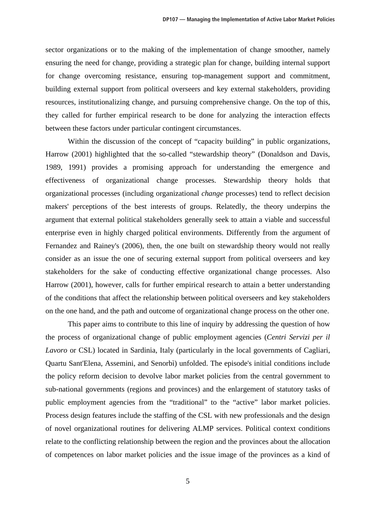sector organizations or to the making of the implementation of change smoother, namely ensuring the need for change, providing a strategic plan for change, building internal support for change overcoming resistance, ensuring top-management support and commitment, building external support from political overseers and key external stakeholders, providing resources, institutionalizing change, and pursuing comprehensive change. On the top of this, they called for further empirical research to be done for analyzing the interaction effects between these factors under particular contingent circumstances.

Within the discussion of the concept of "capacity building" in public organizations, Harrow (2001) highlighted that the so-called "stewardship theory" (Donaldson and Davis, 1989, 1991) provides a promising approach for understanding the emergence and effectiveness of organizational change processes. Stewardship theory holds that organizational processes (including organizational *change* processes) tend to reflect decision makers' perceptions of the best interests of groups. Relatedly, the theory underpins the argument that external political stakeholders generally seek to attain a viable and successful enterprise even in highly charged political environments. Differently from the argument of Fernandez and Rainey's (2006), then, the one built on stewardship theory would not really consider as an issue the one of securing external support from political overseers and key stakeholders for the sake of conducting effective organizational change processes. Also Harrow (2001), however, calls for further empirical research to attain a better understanding of the conditions that affect the relationship between political overseers and key stakeholders on the one hand, and the path and outcome of organizational change process on the other one.

 This paper aims to contribute to this line of inquiry by addressing the question of how the process of organizational change of public employment agencies (*Centri Servizi per il Lavoro* or CSL) located in Sardinia, Italy (particularly in the local governments of Cagliari, Quartu Sant'Elena, Assemini, and Senorbì) unfolded. The episode's initial conditions include the policy reform decision to devolve labor market policies from the central government to sub-national governments (regions and provinces) and the enlargement of statutory tasks of public employment agencies from the "traditional" to the "active" labor market policies. Process design features include the staffing of the CSL with new professionals and the design of novel organizational routines for delivering ALMP services. Political context conditions relate to the conflicting relationship between the region and the provinces about the allocation of competences on labor market policies and the issue image of the provinces as a kind of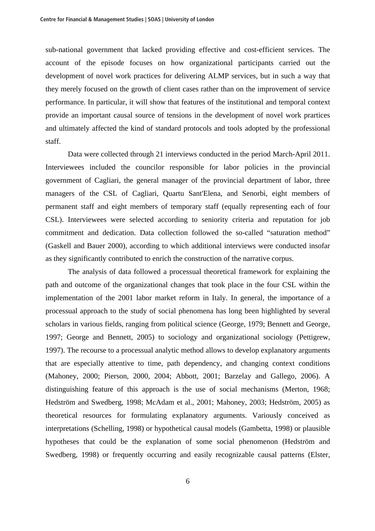sub-national government that lacked providing effective and cost-efficient services. The account of the episode focuses on how organizational participants carried out the development of novel work practices for delivering ALMP services, but in such a way that they merely focused on the growth of client cases rather than on the improvement of service performance. In particular, it will show that features of the institutional and temporal context provide an important causal source of tensions in the development of novel work prartices and ultimately affected the kind of standard protocols and tools adopted by the professional staff.

 Data were collected through 21 interviews conducted in the period March-April 2011. Interviewees included the councilor responsible for labor policies in the provincial government of Cagliari, the general manager of the provincial department of labor, three managers of the CSL of Cagliari, Quartu Sant'Elena, and Senorbì, eight members of permanent staff and eight members of temporary staff (equally representing each of four CSL). Interviewees were selected according to seniority criteria and reputation for job commitment and dedication. Data collection followed the so-called "saturation method" (Gaskell and Bauer 2000), according to which additional interviews were conducted insofar as they significantly contributed to enrich the construction of the narrative corpus.

 The analysis of data followed a processual theoretical framework for explaining the path and outcome of the organizational changes that took place in the four CSL within the implementation of the 2001 labor market reform in Italy. In general, the importance of a processual approach to the study of social phenomena has long been highlighted by several scholars in various fields, ranging from political science (George, 1979; Bennett and George, 1997; George and Bennett, 2005) to sociology and organizational sociology (Pettigrew, 1997). The recourse to a processual analytic method allows to develop explanatory arguments that are especially attentive to time, path dependency, and changing context conditions (Mahoney, 2000; Pierson, 2000, 2004; Abbott, 2001; Barzelay and Gallego, 2006). A distinguishing feature of this approach is the use of social mechanisms (Merton, 1968; Hedström and Swedberg, 1998; McAdam et al., 2001; Mahoney, 2003; Hedström, 2005) as theoretical resources for formulating explanatory arguments. Variously conceived as interpretations (Schelling, 1998) or hypothetical causal models (Gambetta, 1998) or plausible hypotheses that could be the explanation of some social phenomenon (Hedström and Swedberg, 1998) or frequently occurring and easily recognizable causal patterns (Elster,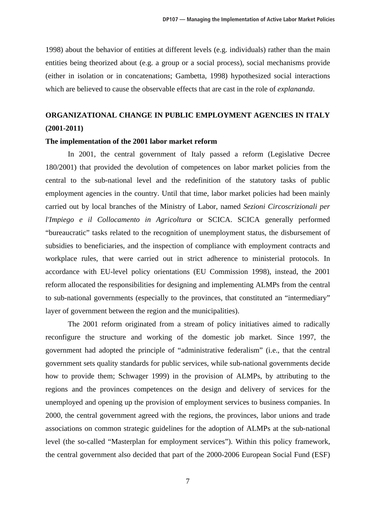1998) about the behavior of entities at different levels (e.g. individuals) rather than the main entities being theorized about (e.g. a group or a social process), social mechanisms provide (either in isolation or in concatenations; Gambetta, 1998) hypothesized social interactions which are believed to cause the observable effects that are cast in the role of *explananda*.

# **ORGANIZATIONAL CHANGE IN PUBLIC EMPLOYMENT AGENCIES IN ITALY (2001-2011)**

#### **The implementation of the 2001 labor market reform**

 In 2001, the central government of Italy passed a reform (Legislative Decree 180/2001) that provided the devolution of competences on labor market policies from the central to the sub-national level and the redefinition of the statutory tasks of public employment agencies in the country. Until that time, labor market policies had been mainly carried out by local branches of the Ministry of Labor, named *Sezioni Circoscrizionali per l'Impiego e il Collocamento in Agricoltura* or SCICA. SCICA generally performed "bureaucratic" tasks related to the recognition of unemployment status, the disbursement of subsidies to beneficiaries, and the inspection of compliance with employment contracts and workplace rules, that were carried out in strict adherence to ministerial protocols. In accordance with EU-level policy orientations (EU Commission 1998), instead, the 2001 reform allocated the responsibilities for designing and implementing ALMPs from the central to sub-national governments (especially to the provinces, that constituted an "intermediary" layer of government between the region and the municipalities).

 The 2001 reform originated from a stream of policy initiatives aimed to radically reconfigure the structure and working of the domestic job market. Since 1997, the government had adopted the principle of "administrative federalism" (i.e., that the central government sets quality standards for public services, while sub-national governments decide how to provide them; Schwager 1999) in the provision of ALMPs, by attributing to the regions and the provinces competences on the design and delivery of services for the unemployed and opening up the provision of employment services to business companies. In 2000, the central government agreed with the regions, the provinces, labor unions and trade associations on common strategic guidelines for the adoption of ALMPs at the sub-national level (the so-called "Masterplan for employment services"). Within this policy framework, the central government also decided that part of the 2000-2006 European Social Fund (ESF)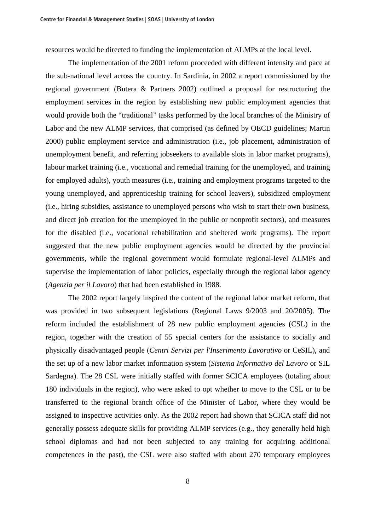resources would be directed to funding the implementation of ALMPs at the local level.

 The implementation of the 2001 reform proceeded with different intensity and pace at the sub-national level across the country. In Sardinia, in 2002 a report commissioned by the regional government (Butera & Partners 2002) outlined a proposal for restructuring the employment services in the region by establishing new public employment agencies that would provide both the "traditional" tasks performed by the local branches of the Ministry of Labor and the new ALMP services, that comprised (as defined by OECD guidelines; Martin 2000) public employment service and administration (i.e., job placement, administration of unemployment benefit, and referring jobseekers to available slots in labor market programs), labour market training (i.e., vocational and remedial training for the unemployed, and training for employed adults), youth measures (i.e., training and employment programs targeted to the young unemployed, and apprenticeship training for school leavers), subsidized employment (i.e., hiring subsidies, assistance to unemployed persons who wish to start their own business, and direct job creation for the unemployed in the public or nonprofit sectors), and measures for the disabled (i.e., vocational rehabilitation and sheltered work programs). The report suggested that the new public employment agencies would be directed by the provincial governments, while the regional government would formulate regional-level ALMPs and supervise the implementation of labor policies, especially through the regional labor agency (*Agenzia per il Lavoro*) that had been established in 1988.

 The 2002 report largely inspired the content of the regional labor market reform, that was provided in two subsequent legislations (Regional Laws 9/2003 and 20/2005). The reform included the establishment of 28 new public employment agencies (CSL) in the region, together with the creation of 55 special centers for the assistance to socially and physically disadvantaged people (*Centri Servizi per l'Inserimento Lavorativo* or CeSIL), and the set up of a new labor market information system (*Sistema Informativo del Lavoro* or SIL Sardegna). The 28 CSL were initially staffed with former SCICA employees (totaling about 180 individuals in the region), who were asked to opt whether to move to the CSL or to be transferred to the regional branch office of the Minister of Labor, where they would be assigned to inspective activities only. As the 2002 report had shown that SCICA staff did not generally possess adequate skills for providing ALMP services (e.g., they generally held high school diplomas and had not been subjected to any training for acquiring additional competences in the past), the CSL were also staffed with about 270 temporary employees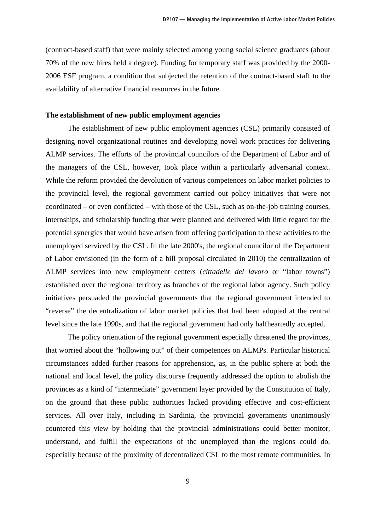(contract-based staff) that were mainly selected among young social science graduates (about 70% of the new hires held a degree). Funding for temporary staff was provided by the 2000- 2006 ESF program, a condition that subjected the retention of the contract-based staff to the availability of alternative financial resources in the future.

#### **The establishment of new public employment agencies**

 The establishment of new public employment agencies (CSL) primarily consisted of designing novel organizational routines and developing novel work practices for delivering ALMP services. The efforts of the provincial councilors of the Department of Labor and of the managers of the CSL, however, took place within a particularly adversarial context. While the reform provided the devolution of various competences on labor market policies to the provincial level, the regional government carried out policy initiatives that were not coordinated – or even conflicted – with those of the CSL, such as on-the-job training courses, internships, and scholarship funding that were planned and delivered with little regard for the potential synergies that would have arisen from offering participation to these activities to the unemployed serviced by the CSL. In the late 2000's, the regional councilor of the Department of Labor envisioned (in the form of a bill proposal circulated in 2010) the centralization of ALMP services into new employment centers (*cittadelle del lavoro* or "labor towns") established over the regional territory as branches of the regional labor agency. Such policy initiatives persuaded the provincial governments that the regional government intended to "reverse" the decentralization of labor market policies that had been adopted at the central level since the late 1990s, and that the regional government had only halfheartedly accepted.

 The policy orientation of the regional government especially threatened the provinces, that worried about the "hollowing out" of their competences on ALMPs. Particular historical circumstances added further reasons for apprehension, as, in the public sphere at both the national and local level, the policy discourse frequently addressed the option to abolish the provinces as a kind of "intermediate" government layer provided by the Constitution of Italy, on the ground that these public authorities lacked providing effective and cost-efficient services. All over Italy, including in Sardinia, the provincial governments unanimously countered this view by holding that the provincial administrations could better monitor, understand, and fulfill the expectations of the unemployed than the regions could do, especially because of the proximity of decentralized CSL to the most remote communities. In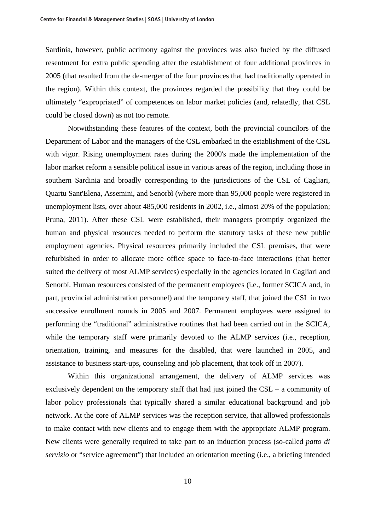Sardinia, however, public acrimony against the provinces was also fueled by the diffused resentment for extra public spending after the establishment of four additional provinces in 2005 (that resulted from the de-merger of the four provinces that had traditionally operated in the region). Within this context, the provinces regarded the possibility that they could be ultimately "expropriated" of competences on labor market policies (and, relatedly, that CSL could be closed down) as not too remote.

 Notwithstanding these features of the context, both the provincial councilors of the Department of Labor and the managers of the CSL embarked in the establishment of the CSL with vigor. Rising unemployment rates during the 2000's made the implementation of the labor market reform a sensible political issue in various areas of the region, including those in southern Sardinia and broadly corresponding to the jurisdictions of the CSL of Cagliari, Quartu Sant'Elena, Assemini, and Senorbì (where more than 95,000 people were registered in unemployment lists, over about 485,000 residents in 2002, i.e., almost 20% of the population; Pruna, 2011). After these CSL were established, their managers promptly organized the human and physical resources needed to perform the statutory tasks of these new public employment agencies. Physical resources primarily included the CSL premises, that were refurbished in order to allocate more office space to face-to-face interactions (that better suited the delivery of most ALMP services) especially in the agencies located in Cagliari and Senorbì. Human resources consisted of the permanent employees (i.e., former SCICA and, in part, provincial administration personnel) and the temporary staff, that joined the CSL in two successive enrollment rounds in 2005 and 2007. Permanent employees were assigned to performing the "traditional" administrative routines that had been carried out in the SCICA, while the temporary staff were primarily devoted to the ALMP services (i.e., reception, orientation, training, and measures for the disabled, that were launched in 2005, and assistance to business start-ups, counseling and job placement, that took off in 2007).

 Within this organizational arrangement, the delivery of ALMP services was exclusively dependent on the temporary staff that had just joined the CSL – a community of labor policy professionals that typically shared a similar educational background and job network. At the core of ALMP services was the reception service, that allowed professionals to make contact with new clients and to engage them with the appropriate ALMP program. New clients were generally required to take part to an induction process (so-called *patto di servizio* or "service agreement") that included an orientation meeting (i.e., a briefing intended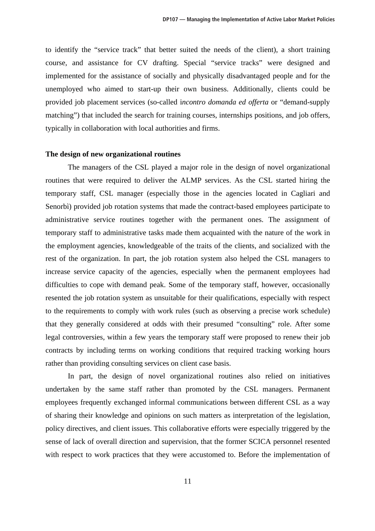to identify the "service track" that better suited the needs of the client), a short training course, and assistance for CV drafting. Special "service tracks" were designed and implemented for the assistance of socially and physically disadvantaged people and for the unemployed who aimed to start-up their own business. Additionally, clients could be provided job placement services (so-called i*ncontro domanda ed offerta* or "demand-supply matching") that included the search for training courses, internships positions, and job offers, typically in collaboration with local authorities and firms.

#### **The design of new organizational routines**

 The managers of the CSL played a major role in the design of novel organizational routines that were required to deliver the ALMP services. As the CSL started hiring the temporary staff, CSL manager (especially those in the agencies located in Cagliari and Senorbì) provided job rotation systems that made the contract-based employees participate to administrative service routines together with the permanent ones. The assignment of temporary staff to administrative tasks made them acquainted with the nature of the work in the employment agencies, knowledgeable of the traits of the clients, and socialized with the rest of the organization. In part, the job rotation system also helped the CSL managers to increase service capacity of the agencies, especially when the permanent employees had difficulties to cope with demand peak. Some of the temporary staff, however, occasionally resented the job rotation system as unsuitable for their qualifications, especially with respect to the requirements to comply with work rules (such as observing a precise work schedule) that they generally considered at odds with their presumed "consulting" role. After some legal controversies, within a few years the temporary staff were proposed to renew their job contracts by including terms on working conditions that required tracking working hours rather than providing consulting services on client case basis.

 In part, the design of novel organizational routines also relied on initiatives undertaken by the same staff rather than promoted by the CSL managers. Permanent employees frequently exchanged informal communications between different CSL as a way of sharing their knowledge and opinions on such matters as interpretation of the legislation, policy directives, and client issues. This collaborative efforts were especially triggered by the sense of lack of overall direction and supervision, that the former SCICA personnel resented with respect to work practices that they were accustomed to. Before the implementation of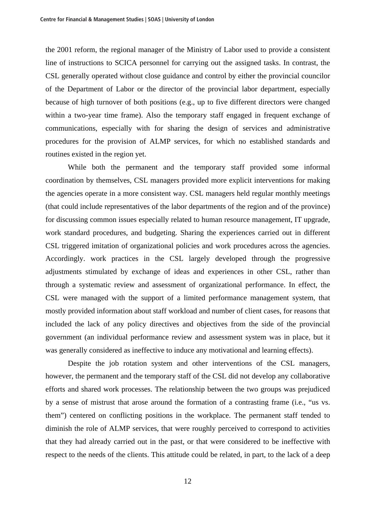the 2001 reform, the regional manager of the Ministry of Labor used to provide a consistent line of instructions to SCICA personnel for carrying out the assigned tasks. In contrast, the CSL generally operated without close guidance and control by either the provincial councilor of the Department of Labor or the director of the provincial labor department, especially because of high turnover of both positions (e.g., up to five different directors were changed within a two-year time frame). Also the temporary staff engaged in frequent exchange of communications, especially with for sharing the design of services and administrative procedures for the provision of ALMP services, for which no established standards and routines existed in the region yet.

 While both the permanent and the temporary staff provided some informal coordination by themselves, CSL managers provided more explicit interventions for making the agencies operate in a more consistent way. CSL managers held regular monthly meetings (that could include representatives of the labor departments of the region and of the province) for discussing common issues especially related to human resource management, IT upgrade, work standard procedures, and budgeting. Sharing the experiences carried out in different CSL triggered imitation of organizational policies and work procedures across the agencies. Accordingly. work practices in the CSL largely developed through the progressive adjustments stimulated by exchange of ideas and experiences in other CSL, rather than through a systematic review and assessment of organizational performance. In effect, the CSL were managed with the support of a limited performance management system, that mostly provided information about staff workload and number of client cases, for reasons that included the lack of any policy directives and objectives from the side of the provincial government (an individual performance review and assessment system was in place, but it was generally considered as ineffective to induce any motivational and learning effects).

 Despite the job rotation system and other interventions of the CSL managers, however, the permanent and the temporary staff of the CSL did not develop any collaborative efforts and shared work processes. The relationship between the two groups was prejudiced by a sense of mistrust that arose around the formation of a contrasting frame (i.e., "us vs. them") centered on conflicting positions in the workplace. The permanent staff tended to diminish the role of ALMP services, that were roughly perceived to correspond to activities that they had already carried out in the past, or that were considered to be ineffective with respect to the needs of the clients. This attitude could be related, in part, to the lack of a deep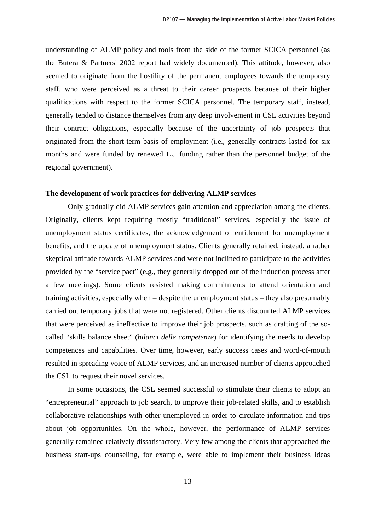understanding of ALMP policy and tools from the side of the former SCICA personnel (as the Butera & Partners' 2002 report had widely documented). This attitude, however, also seemed to originate from the hostility of the permanent employees towards the temporary staff, who were perceived as a threat to their career prospects because of their higher qualifications with respect to the former SCICA personnel. The temporary staff, instead, generally tended to distance themselves from any deep involvement in CSL activities beyond their contract obligations, especially because of the uncertainty of job prospects that originated from the short-term basis of employment (i.e., generally contracts lasted for six months and were funded by renewed EU funding rather than the personnel budget of the regional government).

#### **The development of work practices for delivering ALMP services**

Only gradually did ALMP services gain attention and appreciation among the clients. Originally, clients kept requiring mostly "traditional" services, especially the issue of unemployment status certificates, the acknowledgement of entitlement for unemployment benefits, and the update of unemployment status. Clients generally retained, instead, a rather skeptical attitude towards ALMP services and were not inclined to participate to the activities provided by the "service pact" (e.g., they generally dropped out of the induction process after a few meetings). Some clients resisted making commitments to attend orientation and training activities, especially when – despite the unemployment status – they also presumably carried out temporary jobs that were not registered. Other clients discounted ALMP services that were perceived as ineffective to improve their job prospects, such as drafting of the socalled "skills balance sheet" (*bilanci delle competenze*) for identifying the needs to develop competences and capabilities. Over time, however, early success cases and word-of-mouth resulted in spreading voice of ALMP services, and an increased number of clients approached the CSL to request their novel services.

 In some occasions, the CSL seemed successful to stimulate their clients to adopt an "entrepreneurial" approach to job search, to improve their job-related skills, and to establish collaborative relationships with other unemployed in order to circulate information and tips about job opportunities. On the whole, however, the performance of ALMP services generally remained relatively dissatisfactory. Very few among the clients that approached the business start-ups counseling, for example, were able to implement their business ideas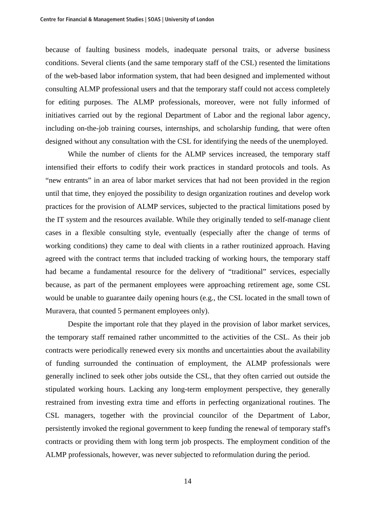because of faulting business models, inadequate personal traits, or adverse business conditions. Several clients (and the same temporary staff of the CSL) resented the limitations of the web-based labor information system, that had been designed and implemented without consulting ALMP professional users and that the temporary staff could not access completely for editing purposes. The ALMP professionals, moreover, were not fully informed of initiatives carried out by the regional Department of Labor and the regional labor agency, including on-the-job training courses, internships, and scholarship funding, that were often designed without any consultation with the CSL for identifying the needs of the unemployed.

 While the number of clients for the ALMP services increased, the temporary staff intensified their efforts to codify their work practices in standard protocols and tools. As "new entrants" in an area of labor market services that had not been provided in the region until that time, they enjoyed the possibility to design organization routines and develop work practices for the provision of ALMP services, subjected to the practical limitations posed by the IT system and the resources available. While they originally tended to self-manage client cases in a flexible consulting style, eventually (especially after the change of terms of working conditions) they came to deal with clients in a rather routinized approach. Having agreed with the contract terms that included tracking of working hours, the temporary staff had became a fundamental resource for the delivery of "traditional" services, especially because, as part of the permanent employees were approaching retirement age, some CSL would be unable to guarantee daily opening hours (e.g., the CSL located in the small town of Muravera, that counted 5 permanent employees only).

 Despite the important role that they played in the provision of labor market services, the temporary staff remained rather uncommitted to the activities of the CSL. As their job contracts were periodically renewed every six months and uncertainties about the availability of funding surrounded the continuation of employment, the ALMP professionals were generally inclined to seek other jobs outside the CSL, that they often carried out outside the stipulated working hours. Lacking any long-term employment perspective, they generally restrained from investing extra time and efforts in perfecting organizational routines. The CSL managers, together with the provincial councilor of the Department of Labor, persistently invoked the regional government to keep funding the renewal of temporary staff's contracts or providing them with long term job prospects. The employment condition of the ALMP professionals, however, was never subjected to reformulation during the period.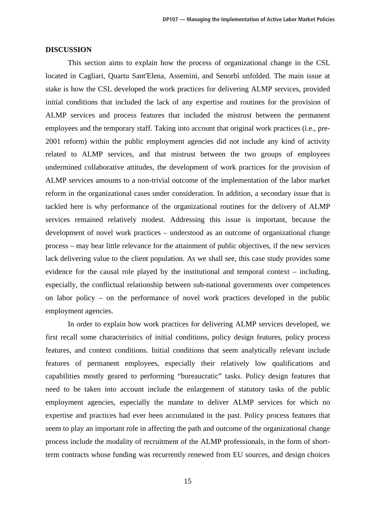#### **DISCUSSION**

 This section aims to explain how the process of organizational change in the CSL located in Cagliari, Quartu Sant'Elena, Assemini, and Senorbì unfolded. The main issue at stake is how the CSL developed the work practices for delivering ALMP services, provided initial conditions that included the lack of any expertise and routines for the provision of ALMP services and process features that included the mistrust between the permanent employees and the temporary staff. Taking into account that original work practices (i.e., pre-2001 reform) within the public employment agencies did not include any kind of activity related to ALMP services, and that mistrust between the two groups of employees undermined collaborative attitudes, the development of work practices for the provision of ALMP services amounts to a non-trivial outcome of the implementation of the labor market reform in the organizational cases under consideration. In addition, a secondary issue that is tackled here is why performance of the organizational routines for the delivery of ALMP services remained relatively modest. Addressing this issue is important, because the development of novel work practices – understood as an outcome of organizational change process – may bear little relevance for the attainment of public objectives, if the new services lack delivering value to the client population. As we shall see, this case study provides some evidence for the causal role played by the institutional and temporal context – including, especially, the conflictual relationship between sub-national governments over competences on labor policy – on the performance of novel work practices developed in the public employment agencies.

 In order to explain how work practices for delivering ALMP services developed, we first recall some characteristics of initial conditions, policy design features, policy process features, and context conditions. Initial conditions that seem analytically relevant include features of permanent employees, especially their relatively low qualifications and capabilities mostly geared to performing "bureaucratic" tasks. Policy design features that need to be taken into account include the enlargement of statutory tasks of the public employment agencies, especially the mandate to deliver ALMP services for which no expertise and practices had ever been accumulated in the past. Policy process features that seem to play an important role in affecting the path and outcome of the organizational change process include the modality of recruitment of the ALMP professionals, in the form of shortterm contracts whose funding was recurrently renewed from EU sources, and design choices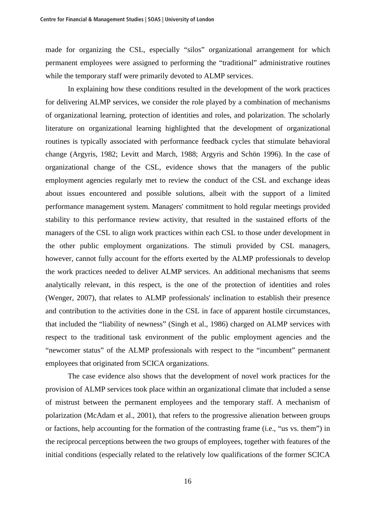made for organizing the CSL, especially "silos" organizational arrangement for which permanent employees were assigned to performing the "traditional" administrative routines while the temporary staff were primarily devoted to ALMP services.

 In explaining how these conditions resulted in the development of the work practices for delivering ALMP services, we consider the role played by a combination of mechanisms of organizational learning, protection of identities and roles, and polarization. The scholarly literature on organizational learning highlighted that the development of organizational routines is typically associated with performance feedback cycles that stimulate behavioral change (Argyris, 1982; Levitt and March, 1988; Argyris and Schön 1996). In the case of organizational change of the CSL, evidence shows that the managers of the public employment agencies regularly met to review the conduct of the CSL and exchange ideas about issues encountered and possible solutions, albeit with the support of a limited performance management system. Managers' commitment to hold regular meetings provided stability to this performance review activity, that resulted in the sustained efforts of the managers of the CSL to align work practices within each CSL to those under development in the other public employment organizations. The stimuli provided by CSL managers, however, cannot fully account for the efforts exerted by the ALMP professionals to develop the work practices needed to deliver ALMP services. An additional mechanisms that seems analytically relevant, in this respect, is the one of the protection of identities and roles (Wenger, 2007), that relates to ALMP professionals' inclination to establish their presence and contribution to the activities done in the CSL in face of apparent hostile circumstances, that included the "liability of newness" (Singh et al., 1986) charged on ALMP services with respect to the traditional task environment of the public employment agencies and the "newcomer status" of the ALMP professionals with respect to the "incumbent" permanent employees that originated from SCICA organizations.

 The case evidence also shows that the development of novel work practices for the provision of ALMP services took place within an organizational climate that included a sense of mistrust between the permanent employees and the temporary staff. A mechanism of polarization (McAdam et al., 2001), that refers to the progressive alienation between groups or factions, help accounting for the formation of the contrasting frame (i.e., "us vs. them") in the reciprocal perceptions between the two groups of employees, together with features of the initial conditions (especially related to the relatively low qualifications of the former SCICA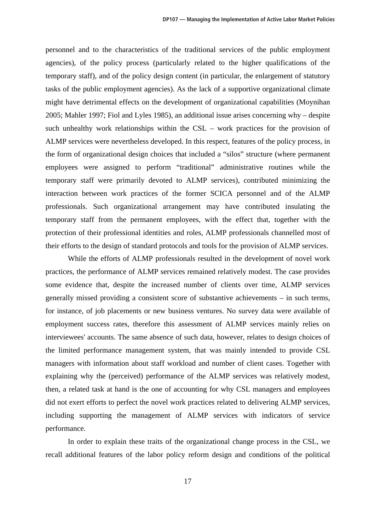personnel and to the characteristics of the traditional services of the public employment agencies), of the policy process (particularly related to the higher qualifications of the temporary staff), and of the policy design content (in particular, the enlargement of statutory tasks of the public employment agencies). As the lack of a supportive organizational climate might have detrimental effects on the development of organizational capabilities (Moynihan 2005; Mahler 1997; Fiol and Lyles 1985), an additional issue arises concerning why – despite such unhealthy work relationships within the CSL – work practices for the provision of ALMP services were nevertheless developed. In this respect, features of the policy process, in the form of organizational design choices that included a "silos" structure (where permanent employees were assigned to perform "traditional" administrative routines while the temporary staff were primarily devoted to ALMP services), contributed minimizing the interaction between work practices of the former SCICA personnel and of the ALMP professionals. Such organizational arrangement may have contributed insulating the temporary staff from the permanent employees, with the effect that, together with the protection of their professional identities and roles, ALMP professionals channelled most of their efforts to the design of standard protocols and tools for the provision of ALMP services.

 While the efforts of ALMP professionals resulted in the development of novel work practices, the performance of ALMP services remained relatively modest. The case provides some evidence that, despite the increased number of clients over time, ALMP services generally missed providing a consistent score of substantive achievements – in such terms, for instance, of job placements or new business ventures. No survey data were available of employment success rates, therefore this assessment of ALMP services mainly relies on interviewees' accounts. The same absence of such data, however, relates to design choices of the limited performance management system, that was mainly intended to provide CSL managers with information about staff workload and number of client cases. Together with explaining why the (perceived) performance of the ALMP services was relatively modest, then, a related task at hand is the one of accounting for why CSL managers and employees did not exert efforts to perfect the novel work practices related to delivering ALMP services, including supporting the management of ALMP services with indicators of service performance.

 In order to explain these traits of the organizational change process in the CSL, we recall additional features of the labor policy reform design and conditions of the political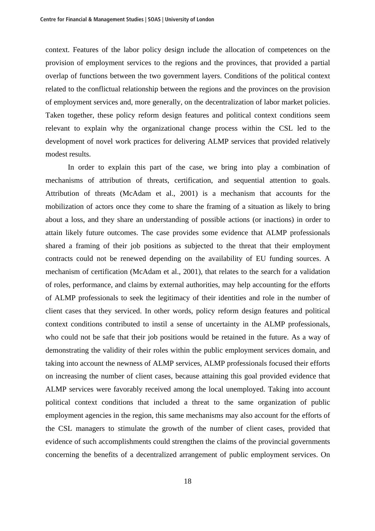context. Features of the labor policy design include the allocation of competences on the provision of employment services to the regions and the provinces, that provided a partial overlap of functions between the two government layers. Conditions of the political context related to the conflictual relationship between the regions and the provinces on the provision of employment services and, more generally, on the decentralization of labor market policies. Taken together, these policy reform design features and political context conditions seem relevant to explain why the organizational change process within the CSL led to the development of novel work practices for delivering ALMP services that provided relatively modest results.

 In order to explain this part of the case, we bring into play a combination of mechanisms of attribution of threats, certification, and sequential attention to goals. Attribution of threats (McAdam et al., 2001) is a mechanism that accounts for the mobilization of actors once they come to share the framing of a situation as likely to bring about a loss, and they share an understanding of possible actions (or inactions) in order to attain likely future outcomes. The case provides some evidence that ALMP professionals shared a framing of their job positions as subjected to the threat that their employment contracts could not be renewed depending on the availability of EU funding sources. A mechanism of certification (McAdam et al., 2001), that relates to the search for a validation of roles, performance, and claims by external authorities, may help accounting for the efforts of ALMP professionals to seek the legitimacy of their identities and role in the number of client cases that they serviced. In other words, policy reform design features and political context conditions contributed to instil a sense of uncertainty in the ALMP professionals, who could not be safe that their job positions would be retained in the future. As a way of demonstrating the validity of their roles within the public employment services domain, and taking into account the newness of ALMP services, ALMP professionals focused their efforts on increasing the number of client cases, because attaining this goal provided evidence that ALMP services were favorably received among the local unemployed. Taking into account political context conditions that included a threat to the same organization of public employment agencies in the region, this same mechanisms may also account for the efforts of the CSL managers to stimulate the growth of the number of client cases, provided that evidence of such accomplishments could strengthen the claims of the provincial governments concerning the benefits of a decentralized arrangement of public employment services. On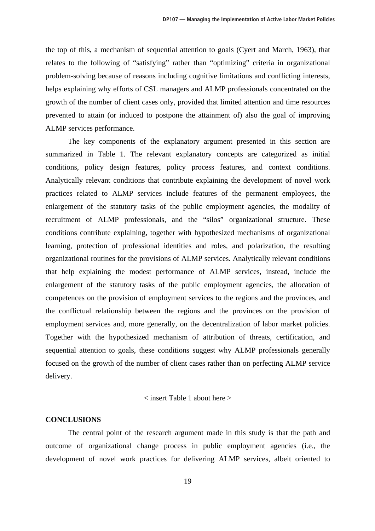the top of this, a mechanism of sequential attention to goals (Cyert and March, 1963), that relates to the following of "satisfying" rather than "optimizing" criteria in organizational problem-solving because of reasons including cognitive limitations and conflicting interests, helps explaining why efforts of CSL managers and ALMP professionals concentrated on the growth of the number of client cases only, provided that limited attention and time resources prevented to attain (or induced to postpone the attainment of) also the goal of improving ALMP services performance.

 The key components of the explanatory argument presented in this section are summarized in Table 1. The relevant explanatory concepts are categorized as initial conditions, policy design features, policy process features, and context conditions. Analytically relevant conditions that contribute explaining the development of novel work practices related to ALMP services include features of the permanent employees, the enlargement of the statutory tasks of the public employment agencies, the modality of recruitment of ALMP professionals, and the "silos" organizational structure. These conditions contribute explaining, together with hypothesized mechanisms of organizational learning, protection of professional identities and roles, and polarization, the resulting organizational routines for the provisions of ALMP services. Analytically relevant conditions that help explaining the modest performance of ALMP services, instead, include the enlargement of the statutory tasks of the public employment agencies, the allocation of competences on the provision of employment services to the regions and the provinces, and the conflictual relationship between the regions and the provinces on the provision of employment services and, more generally, on the decentralization of labor market policies. Together with the hypothesized mechanism of attribution of threats, certification, and sequential attention to goals, these conditions suggest why ALMP professionals generally focused on the growth of the number of client cases rather than on perfecting ALMP service delivery.

#### < insert Table 1 about here >

#### **CONCLUSIONS**

 The central point of the research argument made in this study is that the path and outcome of organizational change process in public employment agencies (i.e., the development of novel work practices for delivering ALMP services, albeit oriented to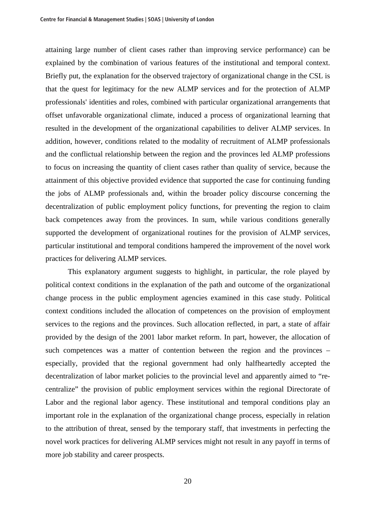attaining large number of client cases rather than improving service performance) can be explained by the combination of various features of the institutional and temporal context. Briefly put, the explanation for the observed trajectory of organizational change in the CSL is that the quest for legitimacy for the new ALMP services and for the protection of ALMP professionals' identities and roles, combined with particular organizational arrangements that offset unfavorable organizational climate, induced a process of organizational learning that resulted in the development of the organizational capabilities to deliver ALMP services. In addition, however, conditions related to the modality of recruitment of ALMP professionals and the conflictual relationship between the region and the provinces led ALMP professions to focus on increasing the quantity of client cases rather than quality of service, because the attainment of this objective provided evidence that supported the case for continuing funding the jobs of ALMP professionals and, within the broader policy discourse concerning the decentralization of public employment policy functions, for preventing the region to claim back competences away from the provinces. In sum, while various conditions generally supported the development of organizational routines for the provision of ALMP services, particular institutional and temporal conditions hampered the improvement of the novel work practices for delivering ALMP services.

 This explanatory argument suggests to highlight, in particular, the role played by political context conditions in the explanation of the path and outcome of the organizational change process in the public employment agencies examined in this case study. Political context conditions included the allocation of competences on the provision of employment services to the regions and the provinces. Such allocation reflected, in part, a state of affair provided by the design of the 2001 labor market reform. In part, however, the allocation of such competences was a matter of contention between the region and the provinces – especially, provided that the regional government had only halfheartedly accepted the decentralization of labor market policies to the provincial level and apparently aimed to "recentralize" the provision of public employment services within the regional Directorate of Labor and the regional labor agency. These institutional and temporal conditions play an important role in the explanation of the organizational change process, especially in relation to the attribution of threat, sensed by the temporary staff, that investments in perfecting the novel work practices for delivering ALMP services might not result in any payoff in terms of more job stability and career prospects.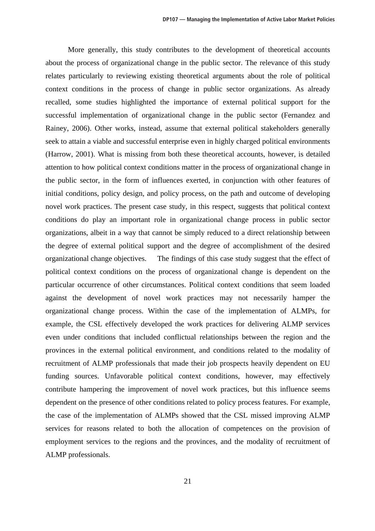More generally, this study contributes to the development of theoretical accounts about the process of organizational change in the public sector. The relevance of this study relates particularly to reviewing existing theoretical arguments about the role of political context conditions in the process of change in public sector organizations. As already recalled, some studies highlighted the importance of external political support for the successful implementation of organizational change in the public sector (Fernandez and Rainey, 2006). Other works, instead, assume that external political stakeholders generally seek to attain a viable and successful enterprise even in highly charged political environments (Harrow, 2001). What is missing from both these theoretical accounts, however, is detailed attention to how political context conditions matter in the process of organizational change in the public sector, in the form of influences exerted, in conjunction with other features of initial conditions, policy design, and policy process, on the path and outcome of developing novel work practices. The present case study, in this respect, suggests that political context conditions do play an important role in organizational change process in public sector organizations, albeit in a way that cannot be simply reduced to a direct relationship between the degree of external political support and the degree of accomplishment of the desired organizational change objectives. The findings of this case study suggest that the effect of political context conditions on the process of organizational change is dependent on the particular occurrence of other circumstances. Political context conditions that seem loaded against the development of novel work practices may not necessarily hamper the organizational change process. Within the case of the implementation of ALMPs, for example, the CSL effectively developed the work practices for delivering ALMP services even under conditions that included conflictual relationships between the region and the provinces in the external political environment, and conditions related to the modality of recruitment of ALMP professionals that made their job prospects heavily dependent on EU funding sources. Unfavorable political context conditions, however, may effectively contribute hampering the improvement of novel work practices, but this influence seems dependent on the presence of other conditions related to policy process features. For example, the case of the implementation of ALMPs showed that the CSL missed improving ALMP services for reasons related to both the allocation of competences on the provision of employment services to the regions and the provinces, and the modality of recruitment of ALMP professionals.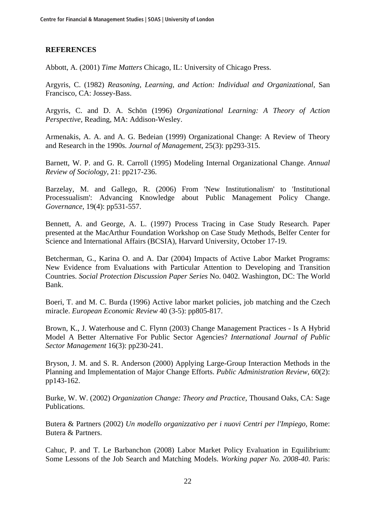## **REFERENCES**

Abbott, A. (2001) *Time Matters* Chicago, IL: University of Chicago Press.

Argyris, C. (1982) *Reasoning, Learning, and Action: Individual and Organizational,* San Francisco, CA: Jossey-Bass.

Argyris, C. and D. A. Schön (1996) *Organizational Learning: A Theory of Action Perspective,* Reading, MA: Addison-Wesley.

Armenakis, A. A. and A. G. Bedeian (1999) Organizational Change: A Review of Theory and Research in the 1990s. *Journal of Management*, 25(3): pp293-315.

Barnett, W. P. and G. R. Carroll (1995) Modeling Internal Organizational Change. *Annual Review of Sociology*, 21: pp217-236.

Barzelay, M. and Gallego, R. (2006) From 'New Institutionalism' to 'Institutional Processualism': Advancing Knowledge about Public Management Policy Change. *Governance*, 19(4): pp531-557.

Bennett, A. and George, A. L. (1997) Process Tracing in Case Study Research. Paper presented at the MacArthur Foundation Workshop on Case Study Methods, Belfer Center for Science and International Affairs (BCSIA), Harvard University, October 17-19.

Betcherman, G., Karina O. and A. Dar (2004) Impacts of Active Labor Market Programs: New Evidence from Evaluations with Particular Attention to Developing and Transition Countries. *Social Protection Discussion Paper Series* No. 0402. Washington, DC: The World Bank.

Boeri, T. and M. C. Burda (1996) Active labor market policies, job matching and the Czech miracle. *European Economic Review* 40 (3-5): pp805-817.

Brown, K., J. Waterhouse and C. Flynn (2003) Change Management Practices - Is A Hybrid Model A Better Alternative For Public Sector Agencies? *International Journal of Public Sector Management* 16(3): pp230-241.

Bryson, J. M. and S. R. Anderson (2000) Applying Large-Group Interaction Methods in the Planning and Implementation of Major Change Efforts. *Public Administration Review,* 60(2): pp143-162.

Burke, W. W. (2002) *Organization Change: Theory and Practice,* Thousand Oaks, CA: Sage Publications.

Butera & Partners (2002) *Un modello organizzativo per i nuovi Centri per l'Impiego,* Rome: Butera & Partners.

Cahuc, P. and T. Le Barbanchon (2008) Labor Market Policy Evaluation in Equilibrium: Some Lessons of the Job Search and Matching Models. *Working paper No. 2008-40*. Paris: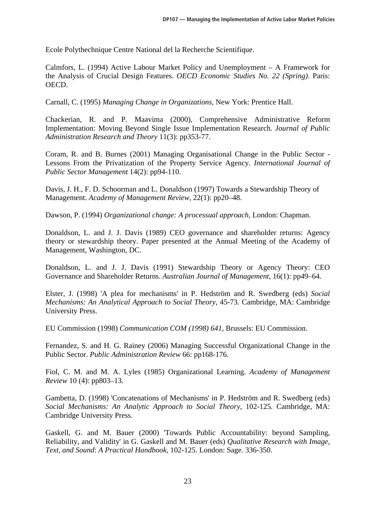Ecole Polythechnique Centre National del la Recherche Scientifique.

Calmfors, L. (1994) Active Labour Market Policy and Unemployment – A Framework for the Analysis of Crucial Design Features. *OECD Economic Studies No. 22 (Spring)*. Paris: OECD.

Carnall, C. (1995) *Managing Change in Organizations,* New York: Prentice Hall.

Chackerian, R. and P. Maavima (2000), Comprehensive Administrative Reform Implementation: Moving Beyond Single Issue Implementation Research. *Journal of Public Administration Research and Theory* 11(3): pp353-77.

Coram, R. and B. Burnes (2001) Managing Organisational Change in the Public Sector - Lessons From the Privatization of the Property Service Agency. *International Journal of Public Sector Management* 14(2): pp94-110.

Davis, J. H., F. D. Schoorman and L. Donaldson (1997) Towards a Stewardship Theory of Management. *Academy of Management Review*, 22(1): pp20–48.

Dawson, P. (1994) *Organizational change: A processual approach*, London: Chapman.

Donaldson, L. and J. J. Davis (1989) CEO governance and shareholder returns: Agency theory or stewardship theory. Paper presented at the Annual Meeting of the Academy of Management, Washington, DC.

Donaldson, L. and J. J. Davis (1991) Stewardship Theory or Agency Theory: CEO Governance and Shareholder Returns. *Australian Journal of Management*, 16(1): pp49–64.

Elster, J. (1998) 'A plea for mechanisms' in P. Hedström and R. Swedberg (eds) *Social Mechanisms: An Analytical Approach to Social Theory,* 45-73. Cambridge, MA: Cambridge University Press.

EU Commission (1998) *Communication COM (1998) 641,* Brussels: EU Commission.

Fernandez, S. and H. G. Rainey (2006) Managing Successful Organizational Change in the Public Sector. *Public Administration Review* 66: pp168-176.

Fiol, C. M. and M. A. Lyles (1985) Organizational Learning. *Academy of Management Review* 10 (4): pp803–13.

Gambetta, D. (1998) 'Concatenations of Mechanisms' in P. Hedström and R. Swedberg (eds) *Social Mechanisms: An Analytic Approach to Social Theory,* 102-125*.* Cambridge, MA: Cambridge University Press.

Gaskell, G. and M. Bauer (2000) 'Towards Public Accountability: beyond Sampling, Reliability, and Validity' in G. Gaskell and M. Bauer (eds) *Qualitative Research with Image, Text, and Sound*: *A Practical Handbook,* 102-125. London: Sage. 336-350.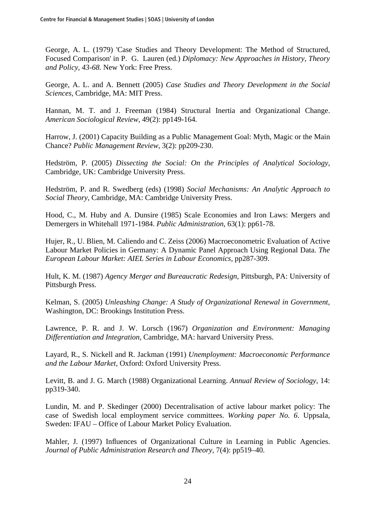George, A. L. (1979) 'Case Studies and Theory Development: The Method of Structured, Focused Comparison' in P. G. Lauren (ed.) *Diplomacy: New Approaches in History, Theory and Policy, 43-68.* New York: Free Press.

George, A. L. and A. Bennett (2005) *Case Studies and Theory Development in the Social Sciences,* Cambridge, MA: MIT Press.

Hannan, M. T. and J. Freeman (1984) Structural Inertia and Organizational Change. *American Sociological Review*, 49(2): pp149-164.

Harrow, J. (2001) Capacity Building as a Public Management Goal: Myth, Magic or the Main Chance? *Public Management Review,* 3(2): pp209-230.

Hedström, P. (2005) *Dissecting the Social: On the Principles of Analytical Sociology,*  Cambridge, UK: Cambridge University Press.

Hedström, P. and R. Swedberg (eds) (1998) *Social Mechanisms: An Analytic Approach to Social Theory,* Cambridge, MA: Cambridge University Press.

Hood, C., M. Huby and A. Dunsire (1985) Scale Economies and Iron Laws: Mergers and Demergers in Whitehall 1971-1984. *Public Administration,* 63(1): pp61-78.

Hujer, R., U. Blien, M. Caliendo and C. Zeiss (2006) Macroeconometric Evaluation of Active Labour Market Policies in Germany: A Dynamic Panel Approach Using Regional Data. *The European Labour Market: AIEL Series in Labour Economics,* pp287-309.

Hult, K. M. (1987) *Agency Merger and Bureaucratic Redesign,* Pittsburgh, PA: University of Pittsburgh Press.

Kelman, S. (2005) *Unleashing Change: A Study of Organizational Renewal in Government,*  Washington, DC: Brookings Institution Press.

Lawrence, P. R. and J. W. Lorsch (1967) *Organization and Environment: Managing Differentiation and Integration,* Cambridge, MA: harvard University Press.

Layard, R., S. Nickell and R. Jackman (1991) *Unemployment: Macroeconomic Performance and the Labour Market,* Oxford: Oxford University Press.

Levitt, B. and J. G. March (1988) Organizational Learning. *Annual Review of Sociology,* 14: pp319-340.

Lundin, M. and P. Skedinger (2000) Decentralisation of active labour market policy: The case of Swedish local employment service committees. *Working paper No. 6*. Uppsala, Sweden: IFAU – Office of Labour Market Policy Evaluation.

Mahler, J. (1997) Influences of Organizational Culture in Learning in Public Agencies. *Journal of Public Administration Research and Theory, 7(4): pp519–40.*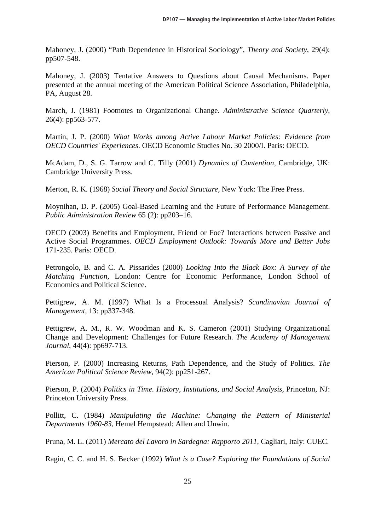Mahoney, J. (2000) "Path Dependence in Historical Sociology", *Theory and Society*, 29(4): pp507-548.

Mahoney, J. (2003) Tentative Answers to Questions about Causal Mechanisms. Paper presented at the annual meeting of the American Political Science Association, Philadelphia, PA, August 28.

March, J. (1981) Footnotes to Organizational Change. *Administrative Science Quarterly*, 26(4): pp563-577.

Martin, J. P. (2000) *What Works among Active Labour Market Policies: Evidence from OECD Countries' Experiences*. OECD Economic Studies No. 30 2000/I. Paris: OECD.

McAdam, D., S. G. Tarrow and C. Tilly (2001) *Dynamics of Contention,* Cambridge, UK: Cambridge University Press.

Merton, R. K. (1968) *Social Theory and Social Structure,* New York: The Free Press.

Moynihan, D. P. (2005) Goal-Based Learning and the Future of Performance Management. *Public Administration Review* 65 (2): pp203–16.

OECD (2003) Benefits and Employment, Friend or Foe? Interactions between Passive and Active Social Programmes. *OECD Employment Outlook: Towards More and Better Jobs* 171-235. Paris: OECD.

Petrongolo, B. and C. A. Pissarides (2000) *Looking Into the Black Box: A Survey of the Matching Function,* London: Centre for Economic Performance, London School of Economics and Political Science.

Pettigrew, A. M. (1997) What Is a Processual Analysis? *Scandinavian Journal of Management*, 13: pp337-348.

Pettigrew, A. M., R. W. Woodman and K. S. Cameron (2001) Studying Organizational Change and Development: Challenges for Future Research. *The Academy of Management Journal*, 44(4): pp697-713.

Pierson, P. (2000) Increasing Returns, Path Dependence, and the Study of Politics. *The American Political Science Review*, 94(2): pp251-267.

Pierson, P. (2004) *Politics in Time. History, Institutions, and Social Analysis,* Princeton, NJ: Princeton University Press.

Pollitt, C. (1984) *Manipulating the Machine: Changing the Pattern of Ministerial Departments 1960-83,* Hemel Hempstead: Allen and Unwin.

Pruna, M. L. (2011) *Mercato del Lavoro in Sardegna: Rapporto 2011,* Cagliari, Italy: CUEC.

Ragin, C. C. and H. S. Becker (1992) *What is a Case? Exploring the Foundations of Social*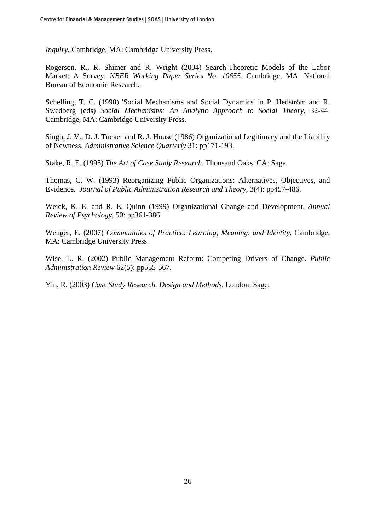*Inquiry,* Cambridge, MA: Cambridge University Press.

Rogerson, R., R. Shimer and R. Wright (2004) Search-Theoretic Models of the Labor Market: A Survey. *NBER Working Paper Series No. 10655*. Cambridge, MA: National Bureau of Economic Research.

Schelling, T. C. (1998) 'Social Mechanisms and Social Dynamics' in P. Hedström and R. Swedberg (eds) *Social Mechanisms: An Analytic Approach to Social Theory,* 32-44. Cambridge, MA: Cambridge University Press.

Singh, J. V., D. J. Tucker and R. J. House (1986) Organizational Legitimacy and the Liability of Newness. *Administrative Science Quarterly* 31: pp171-193.

Stake, R. E. (1995) *The Art of Case Study Research,* Thousand Oaks, CA: Sage.

Thomas, C. W. (1993) Reorganizing Public Organizations: Alternatives, Objectives, and Evidence. *Journal of Public Administration Research and Theory*, 3(4): pp457-486.

Weick, K. E. and R. E. Quinn (1999) Organizational Change and Development. *Annual Review of Psychology*, 50: pp361-386.

Wenger, E. (2007) *Communities of Practice: Learning, Meaning, and Identity,* Cambridge, MA: Cambridge University Press.

Wise, L. R. (2002) Public Management Reform: Competing Drivers of Change. *Public Administration Review* 62(5): pp555-567.

Yin, R. (2003) *Case Study Research. Design and Methods,* London: Sage.